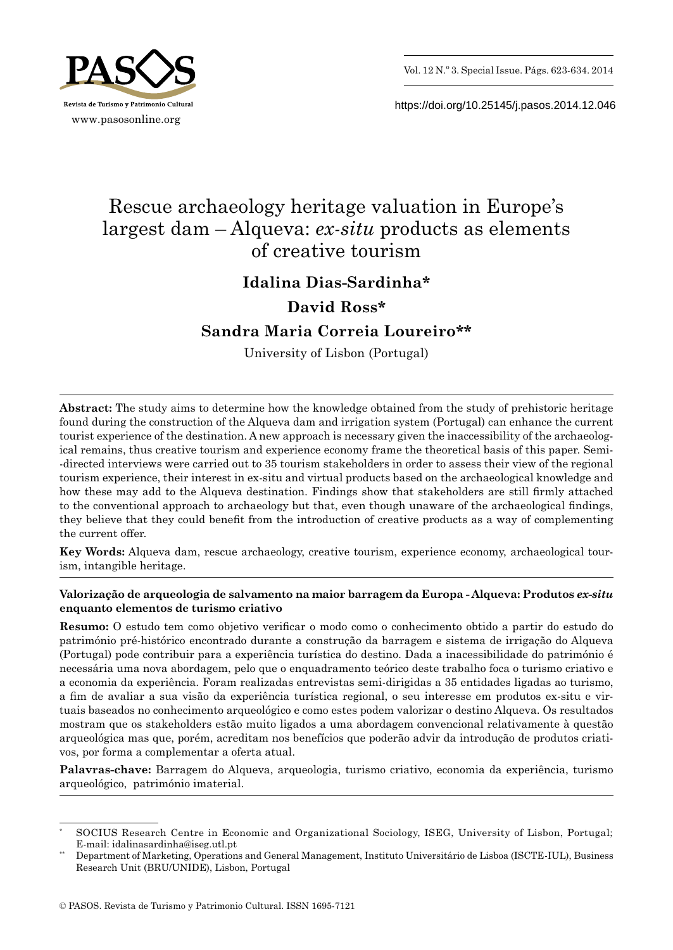



https://doi.org/10.25145/j.pasos.2014.12.046

# Rescue archaeology heritage valuation in Europe's largest dam – Alqueva: *ex‑situ* products as elements of creative tourism

# **Idalina Dias -Sardinha\***

# **David Ross\***

# **Sandra Maria Correia Loureiro\*\***

University of Lisbon (Portugal)

**Abstract:** The study aims to determine how the knowledge obtained from the study of prehistoric heritage found during the construction of the Alqueva dam and irrigation system (Portugal) can enhance the current tourist experience of the destination. A new approach is necessary given the inaccessibility of the archaeological remains, thus creative tourism and experience economy frame the theoretical basis of this paper. Semi- -directed interviews were carried out to 35 tourism stakeholders in order to assess their view of the regional tourism experience, their interest in ex -situ and virtual products based on the archaeological knowledge and how these may add to the Alqueva destination. Findings show that stakeholders are still firmly attached to the conventional approach to archaeology but that, even though unaware of the archaeological findings, they believe that they could benefit from the introduction of creative products as a way of complementing the current offer.

**Key Words:** Alqueva dam, rescue archaeology, creative tourism, experience economy, archaeological tourism, intangible heritage.

# **Valorização de arqueologia de salvamento na maior barragem da Europa - Alqueva: Produtos** *ex-situ* **enquanto elementos de turismo criativo**

**Resumo:** O estudo tem como objetivo verificar o modo como o conhecimento obtido a partir do estudo do património pré-histórico encontrado durante a construção da barragem e sistema de irrigação do Alqueva (Portugal) pode contribuir para a experiência turística do destino. Dada a inacessibilidade do património é necessária uma nova abordagem, pelo que o enquadramento teórico deste trabalho foca o turismo criativo e a economia da experiência. Foram realizadas entrevistas semi-dirigidas a 35 entidades ligadas ao turismo, a fim de avaliar a sua visão da experiência turística regional, o seu interesse em produtos ex-situ e virtuais baseados no conhecimento arqueológico e como estes podem valorizar o destino Alqueva. Os resultados mostram que os stakeholders estão muito ligados a uma abordagem convencional relativamente à questão arqueológica mas que, porém, acreditam nos benefícios que poderão advir da introdução de produtos criativos, por forma a complementar a oferta atual.

**Palavras-chave:** Barragem do Alqueva, arqueologia, turismo criativo, economia da experiência, turismo arqueológico, património imaterial.

<sup>\*</sup> SOCIUS Research Centre in Economic and Organizational Sociology, ISEG, University of Lisbon, Portugal; E-mail: idalinasardinha@iseg.utl.pt

<sup>\*\*</sup> Department of Marketing, Operations and General Management, Instituto Universitário de Lisboa (ISCTE -IUL), Business Research Unit (BRU/UNIDE), Lisbon, Portugal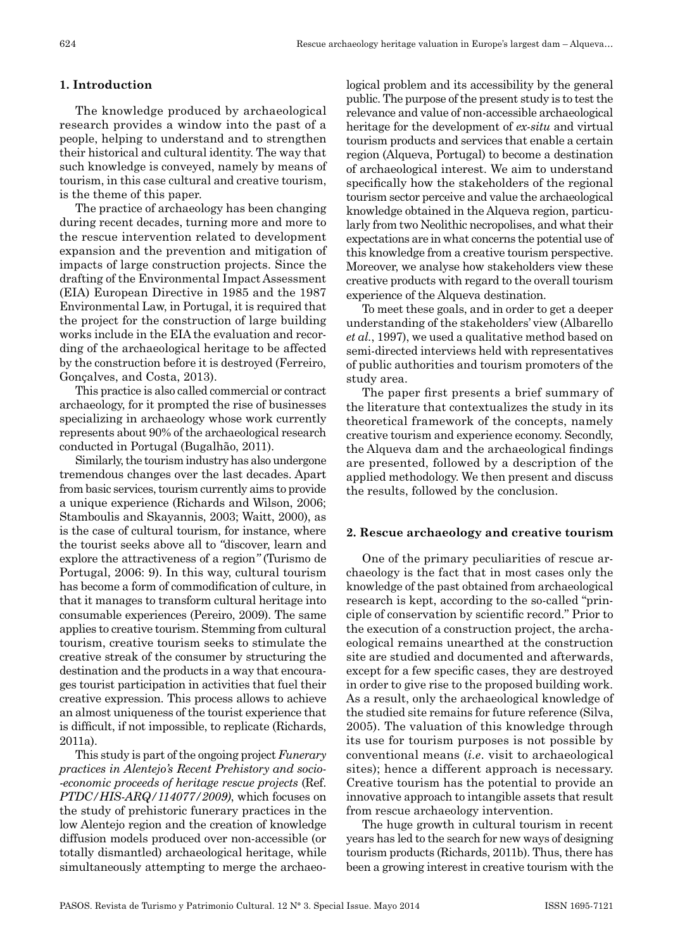#### **1. Introduction**

The knowledge produced by archaeological research provides a window into the past of a people, helping to understand and to strengthen their historical and cultural identity. The way that such knowledge is conveyed, namely by means of tourism, in this case cultural and creative tourism, is the theme of this paper.

The practice of archaeology has been changing during recent decades, turning more and more to the rescue intervention related to development expansion and the prevention and mitigation of impacts of large construction projects. Since the drafting of the Environmental Impact Assessment (EIA) European Directive in 1985 and the 1987 Environmental Law, in Portugal, it is required that the project for the construction of large building works include in the EIA the evaluation and recording of the archaeological heritage to be affected by the construction before it is destroyed (Ferreiro, Gonçalves, and Costa, 2013).

This practice is also called commercial or contract archaeology, for it prompted the rise of businesses specializing in archaeology whose work currently represents about 90% of the archaeological research conducted in Portugal (Bugalhão, 2011).

Similarly, the tourism industry has also undergone tremendous changes over the last decades. Apart from basic services, tourism currently aims to provide a unique experience (Richards and Wilson, 2006; Stamboulis and Skayannis, 2003; Waitt, 2000), as is the case of cultural tourism, for instance, where the tourist seeks above all to *"*discover, learn and explore the attractiveness of a region*"* (Turismo de Portugal, 2006: 9). In this way, cultural tourism has become a form of commodification of culture, in that it manages to transform cultural heritage into consumable experiences (Pereiro, 2009). The same applies to creative tourism. Stemming from cultural tourism, creative tourism seeks to stimulate the creative streak of the consumer by structuring the destination and the products in a way that encourages tourist participation in activities that fuel their creative expression. This process allows to achieve an almost uniqueness of the tourist experience that is difficult, if not impossible, to replicate (Richards, 2011a).

This study is part of the ongoing project *Funerary practices in Alentejo's Recent Prehistory and socio‑ ‑economic proceeds of heritage rescue projects* (Ref. *PTDC/HIS‑ARQ/114077/2009)*, which focuses on the study of prehistoric funerary practices in the low Alentejo region and the creation of knowledge diffusion models produced over non -accessible (or totally dismantled) archaeological heritage, while simultaneously attempting to merge the archaeological problem and its accessibility by the general public. The purpose of the present study is to test the relevance and value of non -accessible archaeological heritage for the development of *ex‑situ* and virtual tourism products and services that enable a certain region (Alqueva, Portugal) to become a destination of archaeological interest. We aim to understand specifically how the stakeholders of the regional tourism sector perceive and value the archaeological knowledge obtained in the Alqueva region, particularly from two Neolithic necropolises, and what their expectations are in what concerns the potential use of this knowledge from a creative tourism perspective. Moreover, we analyse how stakeholders view these creative products with regard to the overall tourism experience of the Alqueva destination.

To meet these goals, and in order to get a deeper understanding of the stakeholders' view (Albarello *et al.*, 1997), we used a qualitative method based on semi -directed interviews held with representatives of public authorities and tourism promoters of the study area.

The paper first presents a brief summary of the literature that contextualizes the study in its theoretical framework of the concepts, namely creative tourism and experience economy. Secondly, the Alqueva dam and the archaeological findings are presented, followed by a description of the applied methodology. We then present and discuss the results, followed by the conclusion.

#### **2. Rescue archaeology and creative tourism**

One of the primary peculiarities of rescue archaeology is the fact that in most cases only the knowledge of the past obtained from archaeological research is kept, according to the so-called "principle of conservation by scientific record." Prior to the execution of a construction project, the archaeological remains unearthed at the construction site are studied and documented and afterwards, except for a few specific cases, they are destroyed in order to give rise to the proposed building work. As a result, only the archaeological knowledge of the studied site remains for future reference (Silva, 2005). The valuation of this knowledge through its use for tourism purposes is not possible by conventional means (*i.e*. visit to archaeological sites); hence a different approach is necessary. Creative tourism has the potential to provide an innovative approach to intangible assets that result from rescue archaeology intervention.

The huge growth in cultural tourism in recent years has led to the search for new ways of designing tourism products (Richards, 2011b). Thus, there has been a growing interest in creative tourism with the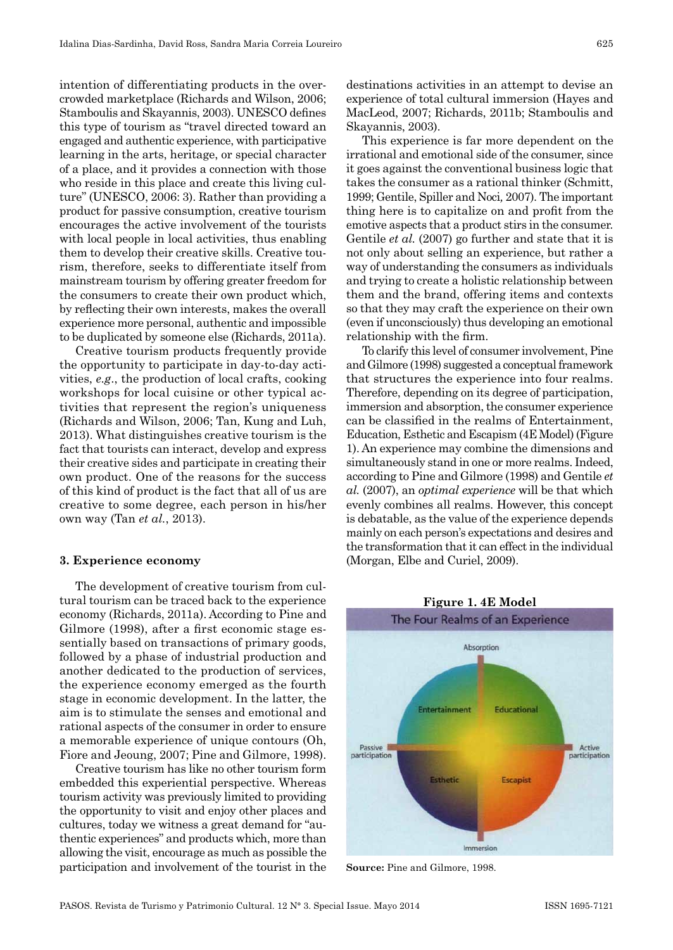intention of differentiating products in the overcrowded marketplace (Richards and Wilson, 2006; Stamboulis and Skayannis, 2003). UNESCO defines this type of tourism as "travel directed toward an engaged and authentic experience, with participative learning in the arts, heritage, or special character of a place, and it provides a connection with those who reside in this place and create this living culture" (UNESCO, 2006: 3). Rather than providing a product for passive consumption, creative tourism encourages the active involvement of the tourists with local people in local activities, thus enabling them to develop their creative skills. Creative tourism, therefore, seeks to differentiate itself from mainstream tourism by offering greater freedom for the consumers to create their own product which, by reflecting their own interests, makes the overall experience more personal, authentic and impossible to be duplicated by someone else (Richards, 2011a).

Creative tourism products frequently provide the opportunity to participate in day -to -day activities, *e.g*., the production of local crafts, cooking workshops for local cuisine or other typical activities that represent the region's uniqueness (Richards and Wilson, 2006; Tan, Kung and Luh, 2013). What distinguishes creative tourism is the fact that tourists can interact, develop and express their creative sides and participate in creating their own product. One of the reasons for the success of this kind of product is the fact that all of us are creative to some degree, each person in his/her own way (Tan *et al.*, 2013).

#### **3. Experience economy**

The development of creative tourism from cultural tourism can be traced back to the experience economy (Richards, 2011a). According to Pine and Gilmore (1998), after a first economic stage essentially based on transactions of primary goods, followed by a phase of industrial production and another dedicated to the production of services, the experience economy emerged as the fourth stage in economic development. In the latter, the aim is to stimulate the senses and emotional and rational aspects of the consumer in order to ensure a memorable experience of unique contours (Oh, Fiore and Jeoung, 2007; Pine and Gilmore, 1998).

Creative tourism has like no other tourism form embedded this experiential perspective. Whereas tourism activity was previously limited to providing the opportunity to visit and enjoy other places and cultures, today we witness a great demand for "authentic experiences" and products which, more than allowing the visit, encourage as much as possible the participation and involvement of the tourist in the destinations activities in an attempt to devise an experience of total cultural immersion (Hayes and MacLeod, 2007; Richards, 2011b; Stamboulis and Skayannis, 2003).

This experience is far more dependent on the irrational and emotional side of the consumer, since it goes against the conventional business logic that takes the consumer as a rational thinker (Schmitt, 1999; Gentile, Spiller and Noci*,* 2007). The important thing here is to capitalize on and profit from the emotive aspects that a product stirs in the consumer. Gentile *et al.* (2007) go further and state that it is not only about selling an experience, but rather a way of understanding the consumers as individuals and trying to create a holistic relationship between them and the brand, offering items and contexts so that they may craft the experience on their own (even if unconsciously) thus developing an emotional relationship with the firm.

To clarify this level of consumer involvement, Pine and Gilmore (1998) suggested a conceptual framework that structures the experience into four realms. Therefore, depending on its degree of participation, immersion and absorption, the consumer experience can be classified in the realms of Entertainment, Education, Esthetic and Escapism (4E Model) (Figure 1). An experience may combine the dimensions and simultaneously stand in one or more realms. Indeed, according to Pine and Gilmore (1998) and Gentile *et al.* (2007), an *optimal experience* will be that which evenly combines all realms. However, this concept is debatable, as the value of the experience depends mainly on each person's expectations and desires and the transformation that it can effect in the individual (Morgan, Elbe and Curiel, 2009).



**Source:** Pine and Gilmore, 1998.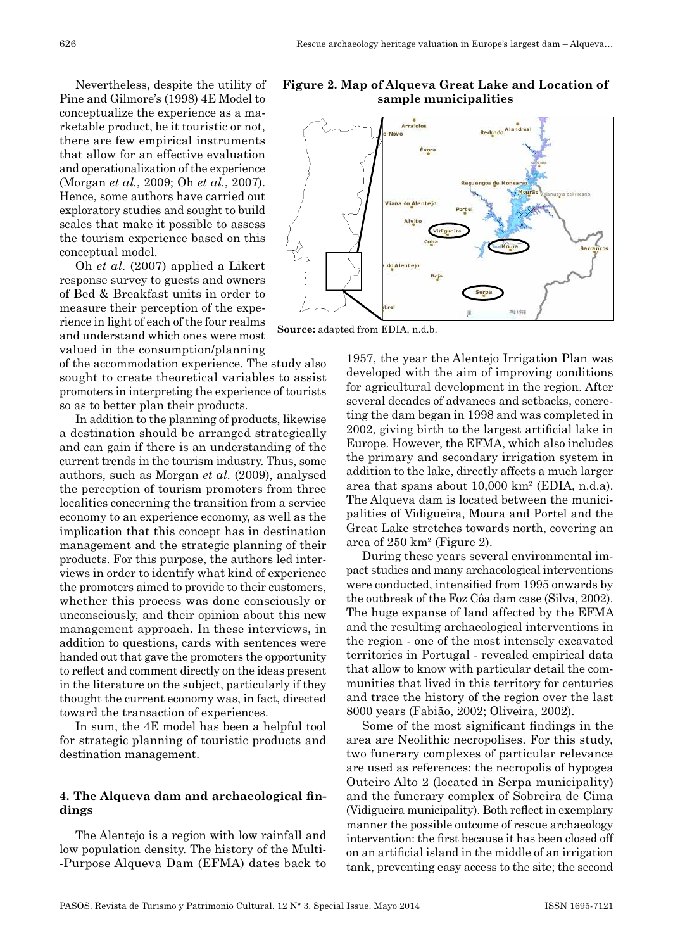Nevertheless, despite the utility of Pine and Gilmore's (1998) 4E Model to conceptualize the experience as a marketable product, be it touristic or not, there are few empirical instruments that allow for an effective evaluation and operationalization of the experience (Morgan *et al.*, 2009; Oh *et al.*, 2007). Hence, some authors have carried out exploratory studies and sought to build scales that make it possible to assess the tourism experience based on this conceptual model.

Oh *et al.* (2007) applied a Likert response survey to guests and owners of Bed & Breakfast units in order to measure their perception of the experience in light of each of the four realms and understand which ones were most valued in the consumption/planning

of the accommodation experience. The study also sought to create theoretical variables to assist promoters in interpreting the experience of tourists so as to better plan their products.

In addition to the planning of products, likewise a destination should be arranged strategically and can gain if there is an understanding of the current trends in the tourism industry. Thus, some authors, such as Morgan *et al.* (2009), analysed the perception of tourism promoters from three localities concerning the transition from a service economy to an experience economy, as well as the implication that this concept has in destination management and the strategic planning of their products. For this purpose, the authors led interviews in order to identify what kind of experience the promoters aimed to provide to their customers, whether this process was done consciously or unconsciously, and their opinion about this new management approach. In these interviews, in addition to questions, cards with sentences were handed out that gave the promoters the opportunity to reflect and comment directly on the ideas present in the literature on the subject, particularly if they thought the current economy was, in fact, directed toward the transaction of experiences.

In sum, the 4E model has been a helpful tool for strategic planning of touristic products and destination management.

### **4. The Alqueva dam and archaeological findings**

The Alentejo is a region with low rainfall and low population density. The history of the Multi- -Purpose Alqueva Dam (EFMA) dates back to

**Figure 2. Map of Alqueva Great Lake and Location of sample municipalities**



**Source:** adapted from EDIA, n.d.b.

1957, the year the Alentejo Irrigation Plan was developed with the aim of improving conditions for agricultural development in the region. After several decades of advances and setbacks, concreting the dam began in 1998 and was completed in 2002, giving birth to the largest artificial lake in Europe. However, the EFMA, which also includes the primary and secondary irrigation system in addition to the lake, directly affects a much larger area that spans about 10,000 km² (EDIA, n.d.a). The Alqueva dam is located between the municipalities of Vidigueira, Moura and Portel and the Great Lake stretches towards north, covering an area of 250 km² (Figure 2).

During these years several environmental impact studies and many archaeological interventions were conducted, intensified from 1995 onwards by the outbreak of the Foz Côa dam case (Silva, 2002). The huge expanse of land affected by the EFMA and the resulting archaeological interventions in the region - one of the most intensely excavated territories in Portugal - revealed empirical data that allow to know with particular detail the communities that lived in this territory for centuries and trace the history of the region over the last 8000 years (Fabião, 2002; Oliveira, 2002).

Some of the most significant findings in the area are Neolithic necropolises. For this study, two funerary complexes of particular relevance are used as references: the necropolis of hypogea Outeiro Alto 2 (located in Serpa municipality) and the funerary complex of Sobreira de Cima (Vidigueira municipality). Both reflect in exemplary manner the possible outcome of rescue archaeology intervention: the first because it has been closed off on an artificial island in the middle of an irrigation tank, preventing easy access to the site; the second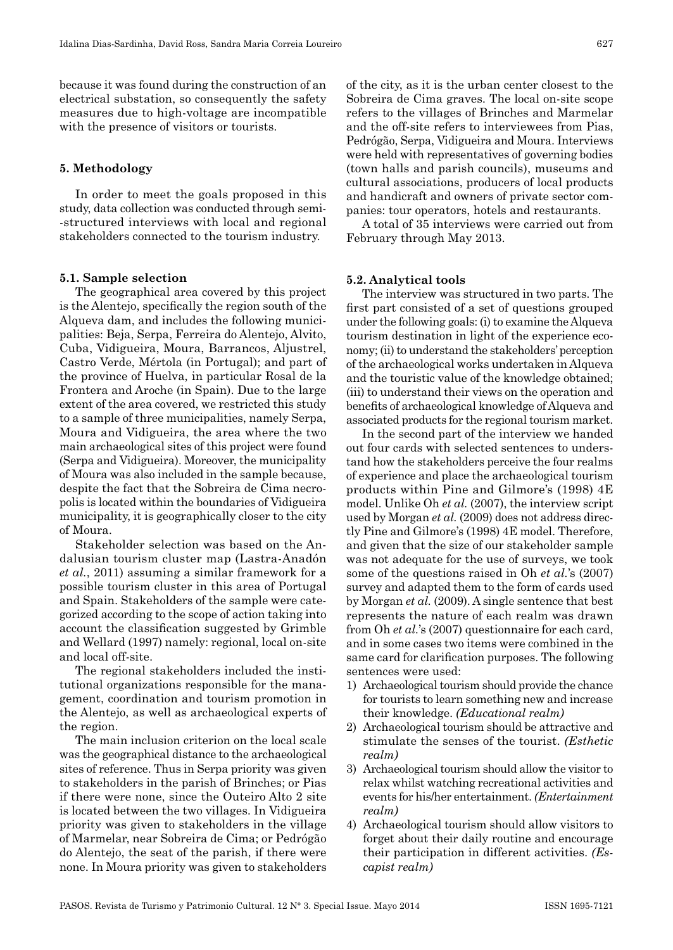because it was found during the construction of an electrical substation, so consequently the safety measures due to high -voltage are incompatible with the presence of visitors or tourists.

#### **5. Methodology**

In order to meet the goals proposed in this study, data collection was conducted through semi- -structured interviews with local and regional stakeholders connected to the tourism industry.

### **5.1. Sample selection**

The geographical area covered by this project is the Alentejo, specifically the region south of the Alqueva dam, and includes the following municipalities: Beja, Serpa, Ferreira do Alentejo, Alvito, Cuba, Vidigueira, Moura, Barrancos, Aljustrel, Castro Verde, Mértola (in Portugal); and part of the province of Huelva, in particular Rosal de la Frontera and Aroche (in Spain). Due to the large extent of the area covered, we restricted this study to a sample of three municipalities, namely Serpa, Moura and Vidigueira, the area where the two main archaeological sites of this project were found (Serpa and Vidigueira). Moreover, the municipality of Moura was also included in the sample because, despite the fact that the Sobreira de Cima necropolis is located within the boundaries of Vidigueira municipality, it is geographically closer to the city of Moura.

Stakeholder selection was based on the Andalusian tourism cluster map (Lastra -Anadón *et al.*, 2011) assuming a similar framework for a possible tourism cluster in this area of Portugal and Spain. Stakeholders of the sample were categorized according to the scope of action taking into account the classification suggested by Grimble and Wellard (1997) namely: regional, local on -site and local off-site.

The regional stakeholders included the institutional organizations responsible for the management, coordination and tourism promotion in the Alentejo, as well as archaeological experts of the region.

The main inclusion criterion on the local scale was the geographical distance to the archaeological sites of reference. Thus in Serpa priority was given to stakeholders in the parish of Brinches; or Pias if there were none, since the Outeiro Alto 2 site is located between the two villages. In Vidigueira priority was given to stakeholders in the village of Marmelar, near Sobreira de Cima; or Pedrógão do Alentejo, the seat of the parish, if there were none. In Moura priority was given to stakeholders of the city, as it is the urban center closest to the Sobreira de Cima graves. The local on -site scope refers to the villages of Brinches and Marmelar and the off-site refers to interviewees from Pias. Pedrógão, Serpa, Vidigueira and Moura. Interviews were held with representatives of governing bodies (town halls and parish councils), museums and cultural associations, producers of local products and handicraft and owners of private sector companies: tour operators, hotels and restaurants.

A total of 35 interviews were carried out from February through May 2013.

#### **5.2. Analytical tools**

The interview was structured in two parts. The first part consisted of a set of questions grouped under the following goals: (i) to examine the Alqueva tourism destination in light of the experience economy; (ii) to understand the stakeholders' perception of the archaeological works undertaken in Alqueva and the touristic value of the knowledge obtained; (iii) to understand their views on the operation and benefits of archaeological knowledge of Alqueva and associated products for the regional tourism market.

In the second part of the interview we handed out four cards with selected sentences to understand how the stakeholders perceive the four realms of experience and place the archaeological tourism products within Pine and Gilmore's (1998) 4E model. Unlike Oh *et al.* (2007), the interview script used by Morgan *et al.* (2009) does not address directly Pine and Gilmore's (1998) 4E model. Therefore, and given that the size of our stakeholder sample was not adequate for the use of surveys, we took some of the questions raised in Oh *et al.*'s (2007) survey and adapted them to the form of cards used by Morgan *et al.* (2009). A single sentence that best represents the nature of each realm was drawn from Oh *et al.*'s (2007) questionnaire for each card, and in some cases two items were combined in the same card for clarification purposes. The following sentences were used:

- 1) Archaeological tourism should provide the chance for tourists to learn something new and increase their knowledge. *(Educational realm)*
- 2) Archaeological tourism should be attractive and stimulate the senses of the tourist. *(Esthetic realm)*
- 3) Archaeological tourism should allow the visitor to relax whilst watching recreational activities and events for his/her entertainment. *(Entertainment realm)*
- 4) Archaeological tourism should allow visitors to forget about their daily routine and encourage their participation in different activities. *(Es‑ capist realm)*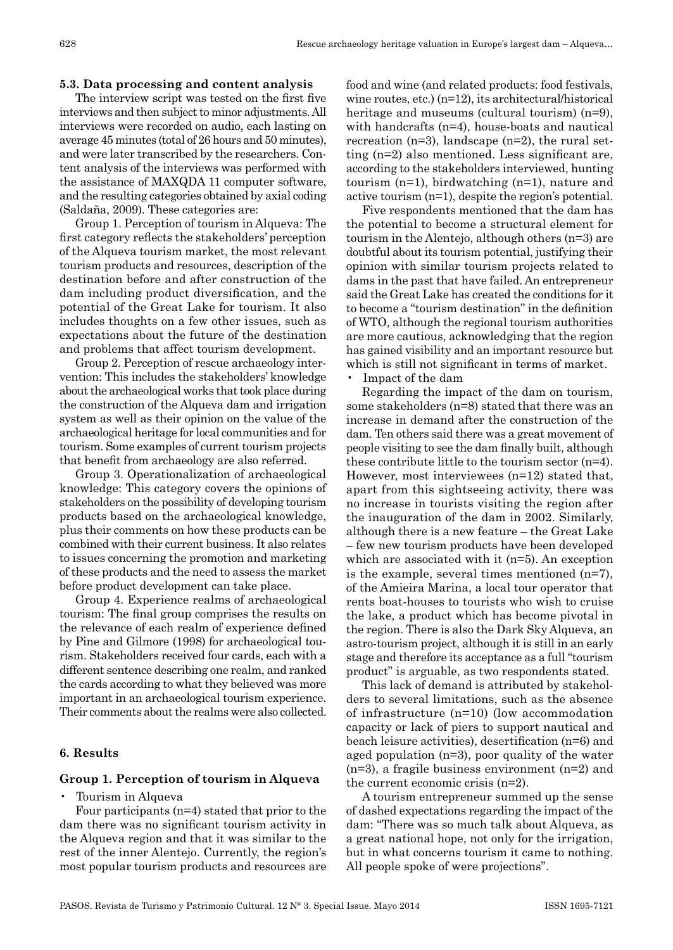# **5.3. Data processing and content analysis**

The interview script was tested on the first five interviews and then subject to minor adjustments. All interviews were recorded on audio, each lasting on average 45 minutes (total of 26 hours and 50 minutes), and were later transcribed by the researchers. Content analysis of the interviews was performed with the assistance of MAXQDA 11 computer software, and the resulting categories obtained by axial coding (Saldaña, 2009). These categories are:

Group 1. Perception of tourism in Alqueva: The first category reflects the stakeholders' perception of the Alqueva tourism market, the most relevant tourism products and resources, description of the destination before and after construction of the dam including product diversification, and the potential of the Great Lake for tourism. It also includes thoughts on a few other issues, such as expectations about the future of the destination and problems that affect tourism development.

Group 2. Perception of rescue archaeology intervention: This includes the stakeholders' knowledge about the archaeological works that took place during the construction of the Alqueva dam and irrigation system as well as their opinion on the value of the archaeological heritage for local communities and for tourism. Some examples of current tourism projects that benefit from archaeology are also referred.

Group 3. Operationalization of archaeological knowledge: This category covers the opinions of stakeholders on the possibility of developing tourism products based on the archaeological knowledge, plus their comments on how these products can be combined with their current business. It also relates to issues concerning the promotion and marketing of these products and the need to assess the market before product development can take place.

Group 4. Experience realms of archaeological tourism: The final group comprises the results on the relevance of each realm of experience defined by Pine and Gilmore (1998) for archaeological tourism. Stakeholders received four cards, each with a different sentence describing one realm, and ranked the cards according to what they believed was more important in an archaeological tourism experience. Their comments about the realms were also collected.

### **6. Results**

# **Group 1. Perception of tourism in Alqueva**

• Tourism in Alqueva

Four participants (n=4) stated that prior to the dam there was no significant tourism activity in the Alqueva region and that it was similar to the rest of the inner Alentejo. Currently, the region's most popular tourism products and resources are food and wine (and related products: food festivals, wine routes, etc.) (n=12), its architectural/historical heritage and museums (cultural tourism) (n=9), with handcrafts (n=4), house-boats and nautical recreation (n=3), landscape (n=2), the rural setting (n=2) also mentioned. Less significant are, according to the stakeholders interviewed, hunting tourism (n=1), birdwatching (n=1), nature and active tourism (n=1), despite the region's potential.

Five respondents mentioned that the dam has the potential to become a structural element for tourism in the Alentejo, although others (n=3) are doubtful about its tourism potential, justifying their opinion with similar tourism projects related to dams in the past that have failed. An entrepreneur said the Great Lake has created the conditions for it to become a "tourism destination" in the definition of WTO, although the regional tourism authorities are more cautious, acknowledging that the region has gained visibility and an important resource but which is still not significant in terms of market.

• Impact of the dam

Regarding the impact of the dam on tourism, some stakeholders (n=8) stated that there was an increase in demand after the construction of the dam. Ten others said there was a great movement of people visiting to see the dam finally built, although these contribute little to the tourism sector (n=4). However, most interviewees (n=12) stated that, apart from this sightseeing activity, there was no increase in tourists visiting the region after the inauguration of the dam in 2002. Similarly, although there is a new feature – the Great Lake – few new tourism products have been developed which are associated with it (n=5). An exception is the example, several times mentioned (n=7), of the Amieira Marina, a local tour operator that rents boat -houses to tourists who wish to cruise the lake, a product which has become pivotal in the region. There is also the Dark Sky Alqueva, an astro -tourism project, although it is still in an early stage and therefore its acceptance as a full "tourism product" is arguable, as two respondents stated.

This lack of demand is attributed by stakeholders to several limitations, such as the absence of infrastructure (n=10) (low accommodation capacity or lack of piers to support nautical and beach leisure activities), desertification (n=6) and aged population (n=3), poor quality of the water (n=3), a fragile business environment (n=2) and the current economic crisis (n=2).

A tourism entrepreneur summed up the sense of dashed expectations regarding the impact of the dam: "There was so much talk about Alqueva, as a great national hope, not only for the irrigation, but in what concerns tourism it came to nothing. All people spoke of were projections".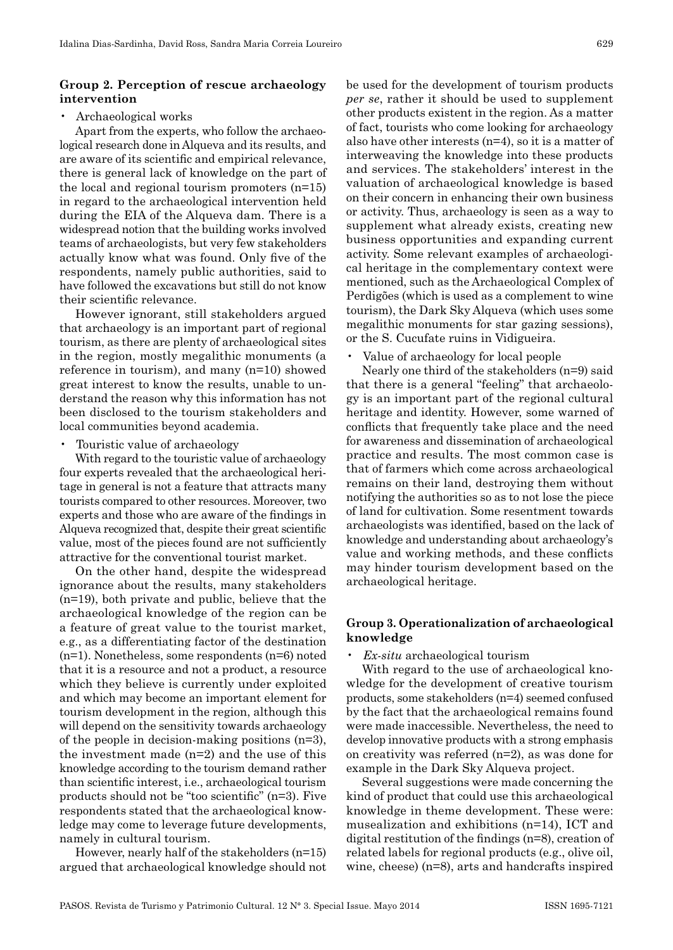#### **Group 2. Perception of rescue archaeology intervention**

#### • Archaeological works

Apart from the experts, who follow the archaeological research done in Alqueva and its results, and are aware of its scientific and empirical relevance, there is general lack of knowledge on the part of the local and regional tourism promoters (n=15) in regard to the archaeological intervention held during the EIA of the Alqueva dam. There is a widespread notion that the building works involved teams of archaeologists, but very few stakeholders actually know what was found. Only five of the respondents, namely public authorities, said to have followed the excavations but still do not know their scientific relevance.

However ignorant, still stakeholders argued that archaeology is an important part of regional tourism, as there are plenty of archaeological sites in the region, mostly megalithic monuments (a reference in tourism), and many (n=10) showed great interest to know the results, unable to understand the reason why this information has not been disclosed to the tourism stakeholders and local communities beyond academia.

• Touristic value of archaeology

With regard to the touristic value of archaeology four experts revealed that the archaeological heritage in general is not a feature that attracts many tourists compared to other resources. Moreover, two experts and those who are aware of the findings in Alqueva recognized that, despite their great scientific value, most of the pieces found are not sufficiently attractive for the conventional tourist market.

On the other hand, despite the widespread ignorance about the results, many stakeholders (n=19), both private and public, believe that the archaeological knowledge of the region can be a feature of great value to the tourist market, e.g., as a differentiating factor of the destination (n=1). Nonetheless, some respondents (n=6) noted that it is a resource and not a product, a resource which they believe is currently under exploited and which may become an important element for tourism development in the region, although this will depend on the sensitivity towards archaeology of the people in decision -making positions (n=3), the investment made (n=2) and the use of this knowledge according to the tourism demand rather than scientific interest, i.e., archaeological tourism products should not be "too scientific" (n=3). Five respondents stated that the archaeological knowledge may come to leverage future developments, namely in cultural tourism.

However, nearly half of the stakeholders (n=15) argued that archaeological knowledge should not be used for the development of tourism products *per se*, rather it should be used to supplement other products existent in the region. As a matter of fact, tourists who come looking for archaeology also have other interests (n=4), so it is a matter of interweaving the knowledge into these products and services. The stakeholders' interest in the valuation of archaeological knowledge is based on their concern in enhancing their own business or activity. Thus, archaeology is seen as a way to supplement what already exists, creating new business opportunities and expanding current activity. Some relevant examples of archaeological heritage in the complementary context were mentioned, such as the Archaeological Complex of Perdigões (which is used as a complement to wine tourism), the Dark Sky Alqueva (which uses some megalithic monuments for star gazing sessions), or the S. Cucufate ruins in Vidigueira.

• Value of archaeology for local people

Nearly one third of the stakeholders (n=9) said that there is a general "feeling" that archaeology is an important part of the regional cultural heritage and identity. However, some warned of conflicts that frequently take place and the need for awareness and dissemination of archaeological practice and results. The most common case is that of farmers which come across archaeological remains on their land, destroying them without notifying the authorities so as to not lose the piece of land for cultivation. Some resentment towards archaeologists was identified, based on the lack of knowledge and understanding about archaeology's value and working methods, and these conflicts may hinder tourism development based on the archaeological heritage.

# **Group 3. Operationalization of archaeological knowledge**

• *Ex‑situ* archaeological tourism

With regard to the use of archaeological knowledge for the development of creative tourism products, some stakeholders (n=4) seemed confused by the fact that the archaeological remains found were made inaccessible. Nevertheless, the need to develop innovative products with a strong emphasis on creativity was referred (n=2), as was done for example in the Dark Sky Alqueva project.

Several suggestions were made concerning the kind of product that could use this archaeological knowledge in theme development. These were: musealization and exhibitions (n=14), ICT and digital restitution of the findings (n=8), creation of related labels for regional products (e.g., olive oil, wine, cheese) (n=8), arts and handcrafts inspired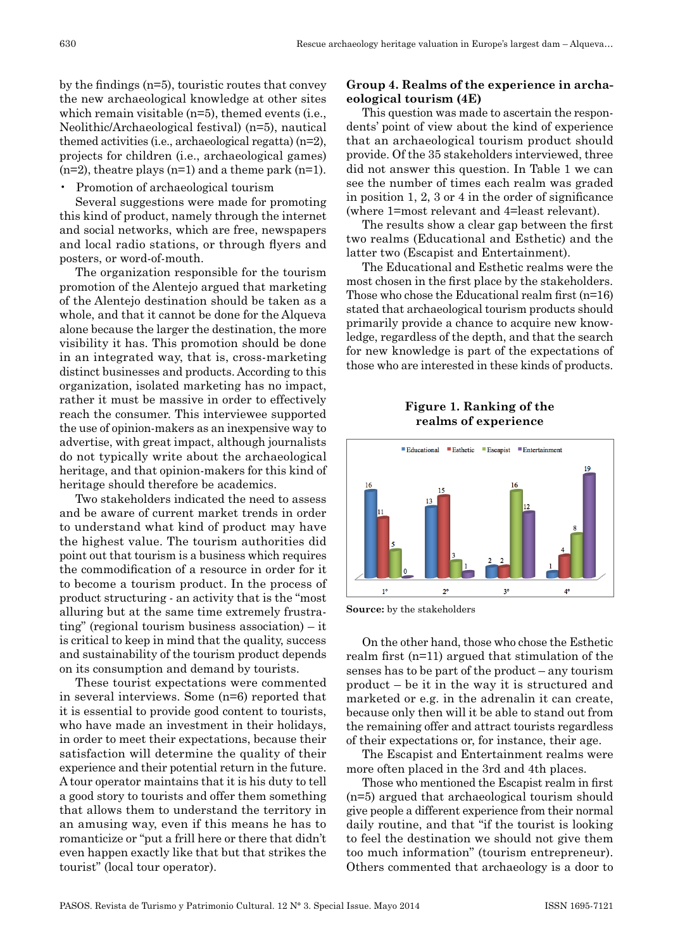by the findings (n=5), touristic routes that convey the new archaeological knowledge at other sites which remain visitable (n=5), themed events (i.e., Neolithic/Archaeological festival) (n=5), nautical themed activities (i.e., archaeological regatta) (n=2), projects for children (i.e., archaeological games)  $(n=2)$ , theatre plays  $(n=1)$  and a theme park  $(n=1)$ .

• Promotion of archaeological tourism

Several suggestions were made for promoting this kind of product, namely through the internet and social networks, which are free, newspapers and local radio stations, or through flyers and posters, or word-of-mouth.

The organization responsible for the tourism promotion of the Alentejo argued that marketing of the Alentejo destination should be taken as a whole, and that it cannot be done for the Alqueva alone because the larger the destination, the more visibility it has. This promotion should be done in an integrated way, that is, cross -marketing distinct businesses and products. According to this organization, isolated marketing has no impact, rather it must be massive in order to effectively reach the consumer. This interviewee supported the use of opinion -makers as an inexpensive way to advertise, with great impact, although journalists do not typically write about the archaeological heritage, and that opinion -makers for this kind of heritage should therefore be academics.

Two stakeholders indicated the need to assess and be aware of current market trends in order to understand what kind of product may have the highest value. The tourism authorities did point out that tourism is a business which requires the commodification of a resource in order for it to become a tourism product. In the process of product structuring - an activity that is the "most alluring but at the same time extremely frustrating" (regional tourism business association) – it is critical to keep in mind that the quality, success and sustainability of the tourism product depends on its consumption and demand by tourists.

These tourist expectations were commented in several interviews. Some (n=6) reported that it is essential to provide good content to tourists, who have made an investment in their holidays, in order to meet their expectations, because their satisfaction will determine the quality of their experience and their potential return in the future. A tour operator maintains that it is his duty to tell a good story to tourists and offer them something that allows them to understand the territory in an amusing way, even if this means he has to romanticize or "put a frill here or there that didn't even happen exactly like that but that strikes the tourist" (local tour operator).

# **Group 4. Realms of the experience in archaeological tourism (4E)**

This question was made to ascertain the respondents' point of view about the kind of experience that an archaeological tourism product should provide. Of the 35 stakeholders interviewed, three did not answer this question. In Table 1 we can see the number of times each realm was graded in position 1, 2, 3 or 4 in the order of significance (where 1=most relevant and 4=least relevant).

The results show a clear gap between the first two realms (Educational and Esthetic) and the latter two (Escapist and Entertainment).

The Educational and Esthetic realms were the most chosen in the first place by the stakeholders. Those who chose the Educational realm first (n=16) stated that archaeological tourism products should primarily provide a chance to acquire new knowledge, regardless of the depth, and that the search for new knowledge is part of the expectations of those who are interested in these kinds of products.

**Figure 1. Ranking of the realms of experience**



**Source:** by the stakeholders

On the other hand, those who chose the Esthetic realm first (n=11) argued that stimulation of the senses has to be part of the product – any tourism product – be it in the way it is structured and marketed or e.g. in the adrenalin it can create, because only then will it be able to stand out from the remaining offer and attract tourists regardless of their expectations or, for instance, their age.

The Escapist and Entertainment realms were more often placed in the 3rd and 4th places.

Those who mentioned the Escapist realm in first (n=5) argued that archaeological tourism should give people a different experience from their normal daily routine, and that "if the tourist is looking to feel the destination we should not give them too much information" (tourism entrepreneur). Others commented that archaeology is a door to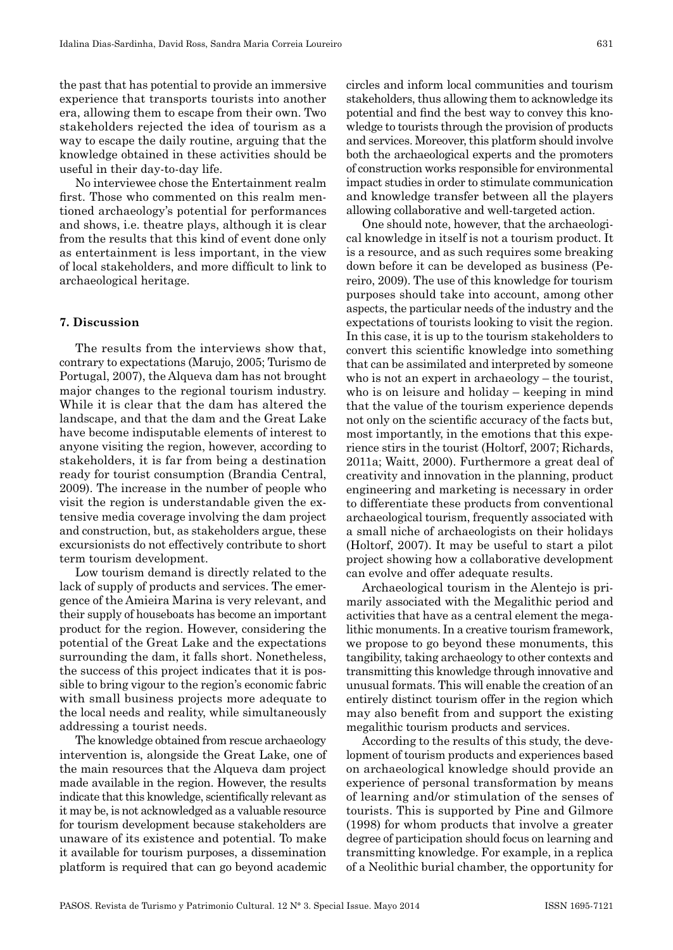the past that has potential to provide an immersive experience that transports tourists into another era, allowing them to escape from their own. Two stakeholders rejected the idea of tourism as a way to escape the daily routine, arguing that the knowledge obtained in these activities should be useful in their day -to -day life.

No interviewee chose the Entertainment realm first. Those who commented on this realm mentioned archaeology's potential for performances and shows, i.e. theatre plays, although it is clear from the results that this kind of event done only as entertainment is less important, in the view of local stakeholders, and more difficult to link to archaeological heritage.

# **7. Discussion**

The results from the interviews show that, contrary to expectations (Marujo, 2005; Turismo de Portugal, 2007), the Alqueva dam has not brought major changes to the regional tourism industry. While it is clear that the dam has altered the landscape, and that the dam and the Great Lake have become indisputable elements of interest to anyone visiting the region, however, according to stakeholders, it is far from being a destination ready for tourist consumption (Brandia Central, 2009). The increase in the number of people who visit the region is understandable given the extensive media coverage involving the dam project and construction, but, as stakeholders argue, these excursionists do not effectively contribute to short term tourism development.

Low tourism demand is directly related to the lack of supply of products and services. The emergence of the Amieira Marina is very relevant, and their supply of houseboats has become an important product for the region. However, considering the potential of the Great Lake and the expectations surrounding the dam, it falls short. Nonetheless, the success of this project indicates that it is possible to bring vigour to the region's economic fabric with small business projects more adequate to the local needs and reality, while simultaneously addressing a tourist needs.

The knowledge obtained from rescue archaeology intervention is, alongside the Great Lake, one of the main resources that the Alqueva dam project made available in the region. However, the results indicate that this knowledge, scientifically relevant as it may be, is not acknowledged as a valuable resource for tourism development because stakeholders are unaware of its existence and potential. To make it available for tourism purposes, a dissemination platform is required that can go beyond academic circles and inform local communities and tourism stakeholders, thus allowing them to acknowledge its potential and find the best way to convey this knowledge to tourists through the provision of products and services. Moreover, this platform should involve both the archaeological experts and the promoters of construction works responsible for environmental impact studies in order to stimulate communication and knowledge transfer between all the players allowing collaborative and well -targeted action.

One should note, however, that the archaeological knowledge in itself is not a tourism product. It is a resource, and as such requires some breaking down before it can be developed as business (Pereiro, 2009). The use of this knowledge for tourism purposes should take into account, among other aspects, the particular needs of the industry and the expectations of tourists looking to visit the region. In this case, it is up to the tourism stakeholders to convert this scientific knowledge into something that can be assimilated and interpreted by someone who is not an expert in archaeology – the tourist, who is on leisure and holiday – keeping in mind that the value of the tourism experience depends not only on the scientific accuracy of the facts but, most importantly, in the emotions that this experience stirs in the tourist (Holtorf, 2007; Richards, 2011a; Waitt, 2000). Furthermore a great deal of creativity and innovation in the planning, product engineering and marketing is necessary in order to differentiate these products from conventional archaeological tourism, frequently associated with a small niche of archaeologists on their holidays (Holtorf, 2007). It may be useful to start a pilot project showing how a collaborative development can evolve and offer adequate results.

Archaeological tourism in the Alentejo is primarily associated with the Megalithic period and activities that have as a central element the megalithic monuments. In a creative tourism framework, we propose to go beyond these monuments, this tangibility, taking archaeology to other contexts and transmitting this knowledge through innovative and unusual formats. This will enable the creation of an entirely distinct tourism offer in the region which may also benefit from and support the existing megalithic tourism products and services.

According to the results of this study, the development of tourism products and experiences based on archaeological knowledge should provide an experience of personal transformation by means of learning and/or stimulation of the senses of tourists. This is supported by Pine and Gilmore (1998) for whom products that involve a greater degree of participation should focus on learning and transmitting knowledge. For example, in a replica of a Neolithic burial chamber, the opportunity for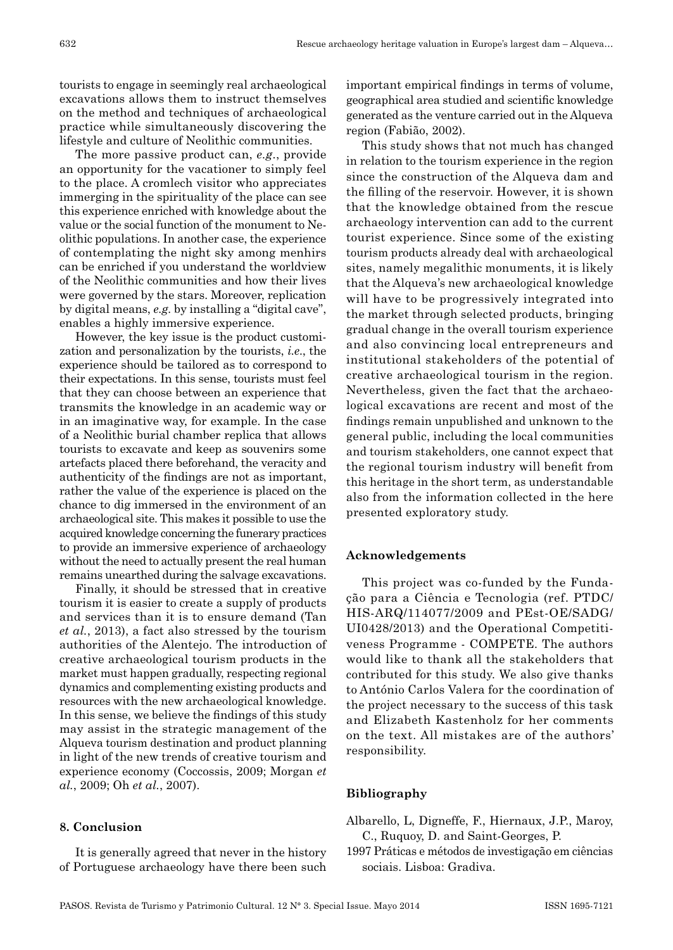tourists to engage in seemingly real archaeological excavations allows them to instruct themselves on the method and techniques of archaeological practice while simultaneously discovering the lifestyle and culture of Neolithic communities.

The more passive product can, *e.g*., provide an opportunity for the vacationer to simply feel to the place. A cromlech visitor who appreciates immerging in the spirituality of the place can see this experience enriched with knowledge about the value or the social function of the monument to Neolithic populations. In another case, the experience of contemplating the night sky among menhirs can be enriched if you understand the worldview of the Neolithic communities and how their lives were governed by the stars. Moreover, replication by digital means, *e.g.* by installing a "digital cave", enables a highly immersive experience.

However, the key issue is the product customization and personalization by the tourists, *i.e*., the experience should be tailored as to correspond to their expectations. In this sense, tourists must feel that they can choose between an experience that transmits the knowledge in an academic way or in an imaginative way, for example. In the case of a Neolithic burial chamber replica that allows tourists to excavate and keep as souvenirs some artefacts placed there beforehand, the veracity and authenticity of the findings are not as important, rather the value of the experience is placed on the chance to dig immersed in the environment of an archaeological site. This makes it possible to use the acquired knowledge concerning the funerary practices to provide an immersive experience of archaeology without the need to actually present the real human remains unearthed during the salvage excavations.

Finally, it should be stressed that in creative tourism it is easier to create a supply of products and services than it is to ensure demand (Tan *et al.*, 2013), a fact also stressed by the tourism authorities of the Alentejo. The introduction of creative archaeological tourism products in the market must happen gradually, respecting regional dynamics and complementing existing products and resources with the new archaeological knowledge. In this sense, we believe the findings of this study may assist in the strategic management of the Alqueva tourism destination and product planning in light of the new trends of creative tourism and experience economy (Coccossis, 2009; Morgan *et al.*, 2009; Oh *et al.*, 2007).

#### **8. Conclusion**

It is generally agreed that never in the history of Portuguese archaeology have there been such

important empirical findings in terms of volume, geographical area studied and scientific knowledge generated as the venture carried out in the Alqueva region (Fabião, 2002).

This study shows that not much has changed in relation to the tourism experience in the region since the construction of the Alqueva dam and the filling of the reservoir. However, it is shown that the knowledge obtained from the rescue archaeology intervention can add to the current tourist experience. Since some of the existing tourism products already deal with archaeological sites, namely megalithic monuments, it is likely that the Alqueva's new archaeological knowledge will have to be progressively integrated into the market through selected products, bringing gradual change in the overall tourism experience and also convincing local entrepreneurs and institutional stakeholders of the potential of creative archaeological tourism in the region. Nevertheless, given the fact that the archaeological excavations are recent and most of the findings remain unpublished and unknown to the general public, including the local communities and tourism stakeholders, one cannot expect that the regional tourism industry will benefit from this heritage in the short term, as understandable also from the information collected in the here presented exploratory study.

# **Acknowledgements**

This project was co-funded by the Fundação para a Ciência e Tecnologia (ref. PTDC/ HIS-ARQ/114077/2009 and PEst-OE/SADG/ UI0428/2013) and the Operational Competitiveness Programme - COMPETE. The authors would like to thank all the stakeholders that contributed for this study. We also give thanks to António Carlos Valera for the coordination of the project necessary to the success of this task and Elizabeth Kastenholz for her comments on the text. All mistakes are of the authors' responsibility.

#### **Bibliography**

- Albarello, L, Digneffe, F., Hiernaux, J.P., Maroy, C., Ruquoy, D. and Saint -Georges, P.
- 1997 Práticas e métodos de investigação em ciências sociais. Lisboa: Gradiva.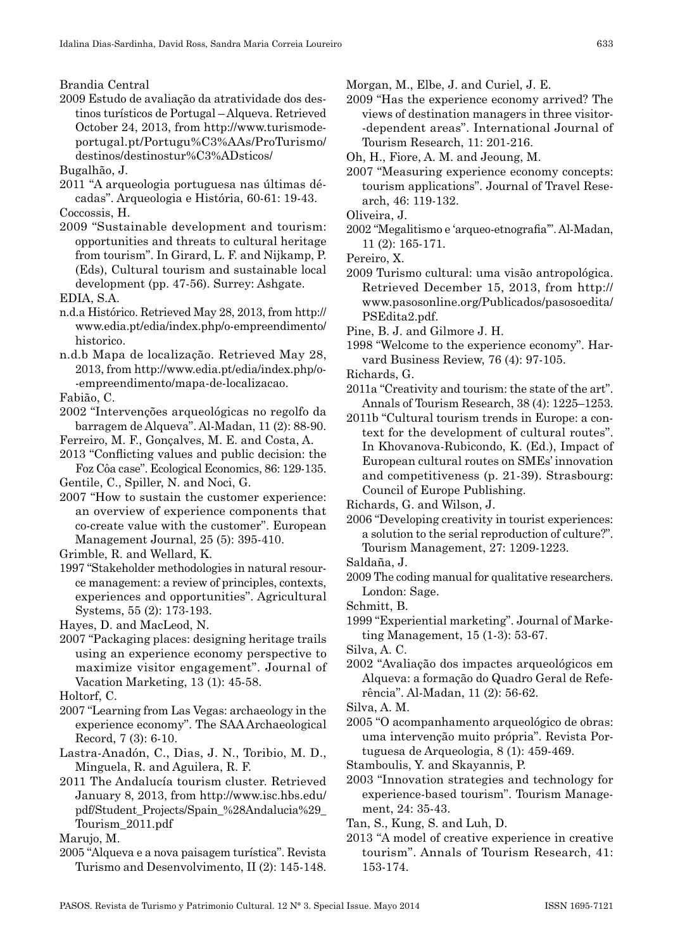Brandia Central

2009 Estudo de avaliação da atratividade dos destinos turísticos de Portugal – Alqueva. Retrieved October 24, 2013, from http://www.turismodeportugal.pt/Portugu%C3%AAs/ProTurismo/ destinos/destinostur%C3%ADsticos/

Bugalhão, J.

- 2011 "A arqueologia portuguesa nas últimas décadas". Arqueologia e História, 60 -61: 19 -43.
- Coccossis, H.
- 2009 "Sustainable development and tourism: opportunities and threats to cultural heritage from tourism". In Girard, L. F. and Nijkamp, P. (Eds), Cultural tourism and sustainable local development (pp. 47 -56). Surrey: Ashgate.

EDIA, S.A.

- n.d.a Histórico. Retrieved May 28, 2013, from http:// www.edia.pt/edia/index.php/o -empreendimento/ historico.
- n.d.b Mapa de localização. Retrieved May 28, 2013, from http://www.edia.pt/edia/index.php/o- -empreendimento/mapa -de -localizacao.

Fabião, C.

- 2002 "Intervenções arqueológicas no regolfo da barragem de Alqueva". Al -Madan, 11 (2): 88 -90.
- Ferreiro, M. F., Gonçalves, M. E. and Costa, A.

2013 "Conflicting values and public decision: the Foz Côa case". Ecological Economics, 86: 129 -135.

Gentile, C., Spiller, N. and Noci, G.

2007 "How to sustain the customer experience: an overview of experience components that co -create value with the customer". European Management Journal, 25 (5): 395 -410.

1997 "Stakeholder methodologies in natural resource management: a review of principles, contexts, experiences and opportunities". Agricultural Systems, 55 (2): 173 -193.

Hayes, D. and MacLeod, N.

2007 "Packaging places: designing heritage trails using an experience economy perspective to maximize visitor engagement". Journal of Vacation Marketing, 13 (1): 45 -58.

Holtorf, C.

- 2007 "Learning from Las Vegas: archaeology in the experience economy". The SAA Archaeological Record, 7 (3): 6 -10.
- Lastra -Anadón, C., Dias, J. N., Toribio, M. D., Minguela, R. and Aguilera, R. F.
- 2011 The Andalucía tourism cluster. Retrieved January 8, 2013, from http://www.isc.hbs.edu/ pdf/Student\_Projects/Spain\_%28Andalucia%29\_ Tourism\_2011.pdf

Marujo, M.

2005 "Alqueva e a nova paisagem turística". Revista Turismo and Desenvolvimento, II (2): 145 -148. Morgan, M., Elbe, J. and Curiel, J. E.

2009 "Has the experience economy arrived? The views of destination managers in three visitor- -dependent areas". International Journal of Tourism Research, 11: 201 -216.

Oh, H., Fiore, A. M. and Jeoung, M.

- 2007 "Measuring experience economy concepts: tourism applications". Journal of Travel Research, 46: 119 -132.
- Oliveira, J.
- 2002 "Megalitismo e 'arqueo -etnografia'". Al -Madan, 11 (2): 165 -171.

Pereiro, X.

- 2009 Turismo cultural: uma visão antropológica. Retrieved December 15, 2013, from http:// www.pasosonline.org/Publicados/pasosoedita/ PSEdita2.pdf.
- Pine, B. J. and Gilmore J. H.
- 1998 "Welcome to the experience economy". Harvard Business Review, 76 (4): 97 -105.
- Richards, G.
- 2011a "Creativity and tourism: the state of the art". Annals of Tourism Research, 38 (4): 1225–1253.
- 2011b "Cultural tourism trends in Europe: a context for the development of cultural routes". In Khovanova -Rubicondo, K. (Ed.), Impact of European cultural routes on SMEs' innovation and competitiveness (p. 21 -39). Strasbourg: Council of Europe Publishing.

Richards, G. and Wilson, J.

2006 "Developing creativity in tourist experiences: a solution to the serial reproduction of culture?". Tourism Management, 27: 1209 -1223.

Saldaña, J.

- 2009 The coding manual for qualitative researchers. London: Sage.
- Schmitt, B.
- 1999 "Experiential marketing". Journal of Marketing Management, 15 (1 -3): 53 -67.
- Silva, A. C.
- 2002 "Avaliação dos impactes arqueológicos em Alqueva: a formação do Quadro Geral de Referência". Al -Madan, 11 (2): 56 -62.
- Silva, A. M.
- 2005 "O acompanhamento arqueológico de obras: uma intervenção muito própria". Revista Portuguesa de Arqueologia, 8 (1): 459 -469.
- Stamboulis, Y. and Skayannis, P.
- 2003 "Innovation strategies and technology for experience -based tourism". Tourism Management, 24: 35 -43.

Tan, S., Kung, S. and Luh, D.

2013 "A model of creative experience in creative tourism". Annals of Tourism Research, 41: 153 -174.

Grimble, R. and Wellard, K.